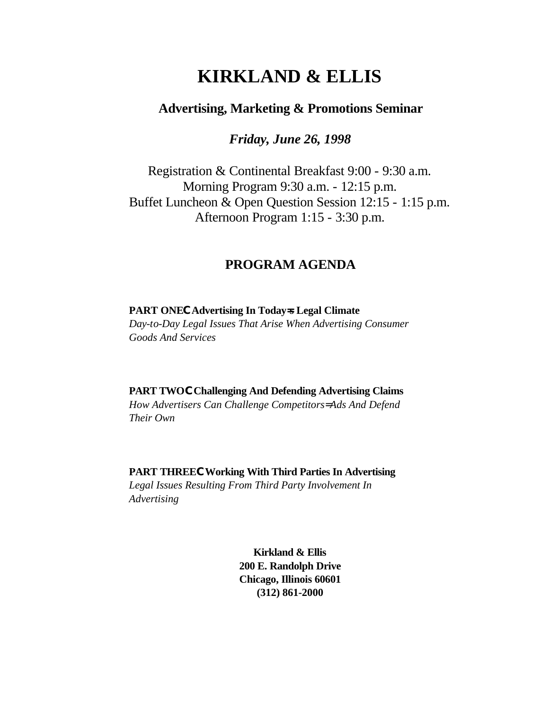# **KIRKLAND & ELLIS**

## **Advertising, Marketing & Promotions Seminar**

*Friday, June 26, 1998*

Registration & Continental Breakfast 9:00 - 9:30 a.m. Morning Program 9:30 a.m. - 12:15 p.m. Buffet Luncheon & Open Question Session 12:15 - 1:15 p.m. Afternoon Program 1:15 - 3:30 p.m.

## **PROGRAM AGENDA**

**PART ONECAdvertising In Today=s Legal Climate** *Day-to-Day Legal Issues That Arise When Advertising Consumer* 

*Goods And Services*

**PART TWOCChallenging And Defending Advertising Claims** *How Advertisers Can Challenge Competitors= Ads And Defend Their Own*

**PART THREECWorking With Third Parties In Advertising** *Legal Issues Resulting From Third Party Involvement In Advertising*

> **Kirkland & Ellis 200 E. Randolph Drive Chicago, Illinois 60601 (312) 861-2000**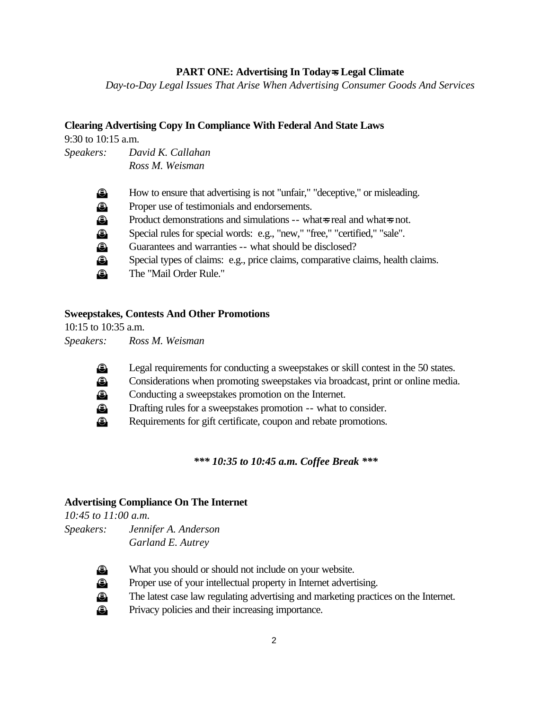#### **PART ONE: Advertising In Today=s Legal Climate**

*Day-to-Day Legal Issues That Arise When Advertising Consumer Goods And Services*

#### **Clearing Advertising Copy In Compliance With Federal And State Laws**

9:30 to 10:15 a.m.

*Speakers: David K. Callahan Ross M. Weisman*

| $\bigcirc$  | How to ensure that advertising is not "unfair," "deceptive," or misleading.     |
|-------------|---------------------------------------------------------------------------------|
| $\bigcirc$  | Proper use of testimonials and endorsements.                                    |
| $\bigcirc$  | Product demonstrations and simulations -- what s real and what s not.           |
| $\bigcirc$  | Special rules for special words: e.g., "new," "free," "certified," "sale".      |
| $\bigcirc$  | Guarantees and warranties -- what should be disclosed?                          |
| $\bigoplus$ | Special types of claims: e.g., price claims, comparative claims, health claims. |
| $\bigoplus$ | The "Mail Order Rule."                                                          |

#### **Sweepstakes, Contests And Other Promotions**

10:15 to 10:35 a.m. *Speakers: Ross M. Weisman*

- **E** Legal requirements for conducting a sweepstakes or skill contest in the 50 states.
- **E** Considerations when promoting sweepstakes via broadcast, print or online media.
- **3** Conducting a sweepstakes promotion on the Internet.
- **E** Drafting rules for a sweepstakes promotion -- what to consider.
- **E** Requirements for gift certificate, coupon and rebate promotions.

#### *\*\*\* 10:35 to 10:45 a.m. Coffee Break \*\*\**

#### **Advertising Compliance On The Internet**

*10:45 to 11:00 a.m. Speakers: Jennifer A. Anderson Garland E. Autrey*



- u What you should or should not include on your website.
- **E** Proper use of your intellectual property in Internet advertising.
- **E** The latest case law regulating advertising and marketing practices on the Internet.
	- Privacy policies and their increasing importance.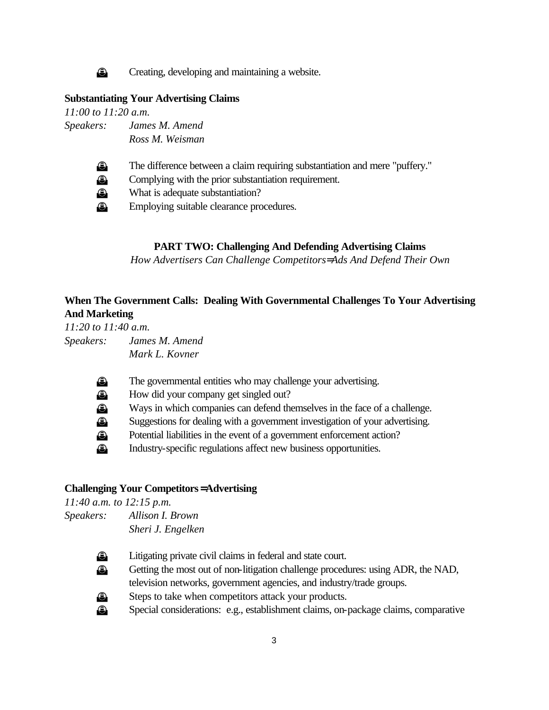

**E** Creating, developing and maintaining a website.

#### **Substantiating Your Advertising Claims**

*11:00 to 11:20 a.m. Speakers: James M. Amend Ross M. Weisman*



**E** The difference between a claim requiring substantiation and mere "puffery."

**E** Complying with the prior substantiation requirement.

**E** What is adequate substantiation?

**Employing suitable clearance procedures.** 

#### **PART TWO: Challenging And Defending Advertising Claims**

*How Advertisers Can Challenge Competitors= Ads And Defend Their Own*

## **When The Government Calls: Dealing With Governmental Challenges To Your Advertising And Marketing**

*11:20 to 11:40 a.m. Speakers: James M. Amend Mark L. Kovner*

- **E** The governmental entities who may challenge your advertising.
- **E** How did your company get singled out?
- u Ways in which companies can defend themselves in the face of a challenge.
- u Suggestions for dealing with a government investigation of your advertising.
- u Potential liabilities in the event of a government enforcement action?
- **3** Industry-specific regulations affect new business opportunities.

#### **Challenging Your Competitors= Advertising**

*11:40 a.m. to 12:15 p.m. Speakers: Allison I. Brown Sheri J. Engelken*



**E** Litigating private civil claims in federal and state court.

- **E** Getting the most out of non-litigation challenge procedures: using ADR, the NAD, television networks, government agencies, and industry/trade groups.
- **E** Steps to take when competitors attack your products.

u Special considerations: e.g., establishment claims, on-package claims, comparative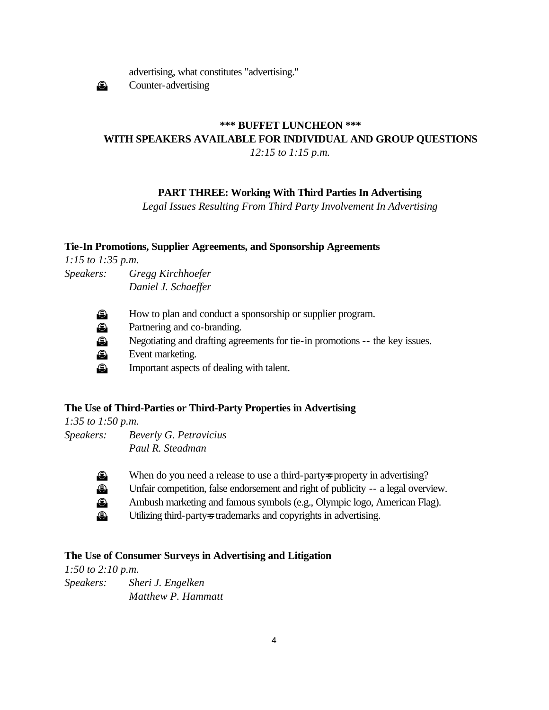

advertising, what constitutes "advertising."

 $\bigcirc$  Counter-advertising

## **\*\*\* BUFFET LUNCHEON \*\*\* WITH SPEAKERS AVAILABLE FOR INDIVIDUAL AND GROUP QUESTIONS**  *12:15 to 1:15 p.m.*

## **PART THREE: Working With Third Parties In Advertising**

*Legal Issues Resulting From Third Party Involvement In Advertising*

#### **Tie-In Promotions, Supplier Agreements, and Sponsorship Agreements**

*1:15 to 1:35 p.m. Speakers: Gregg Kirchhoefer Daniel J. Schaeffer*

u How to plan and conduct a sponsorship or supplier program.

**E** Partnering and co-branding.

u Negotiating and drafting agreements for tie-in promotions -- the key issues.

**Event marketing.** 

**E** Important aspects of dealing with talent.

## **The Use of Third-Parties or Third-Party Properties in Advertising**

*1:35 to 1:50 p.m. Speakers: Beverly G. Petravicius Paul R. Steadman*



- u When do you need a release to use a third-party=s property in advertising? u Unfair competition, false endorsement and right of publicity -- a legal overview. u Ambush marketing and famous symbols (e.g., Olympic logo, American Flag).
- u Utilizing third-party=s trademarks and copyrights in advertising.

## **The Use of Consumer Surveys in Advertising and Litigation**

*1:50 to 2:10 p.m. Speakers: Sheri J. Engelken Matthew P. Hammatt*